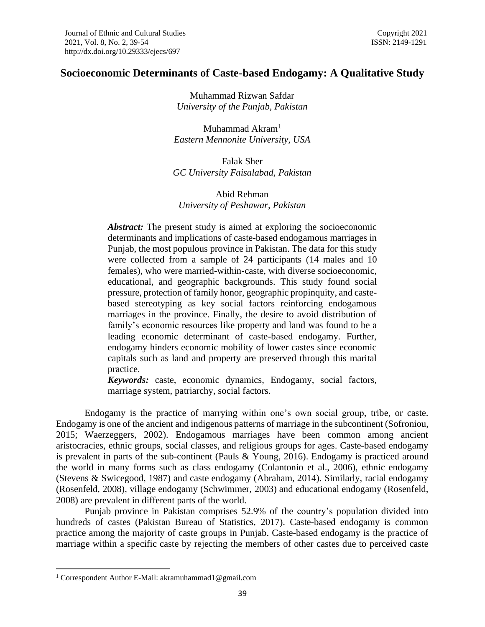# **Socioeconomic Determinants of Caste-based Endogamy: A Qualitative Study**

Muhammad Rizwan Safdar *University of the Punjab, Pakistan*

Muhammad Akram<sup>1</sup> *Eastern Mennonite University, USA*

Falak Sher *GC University Faisalabad, Pakistan*

## Abid Rehman *University of Peshawar, Pakistan*

Abstract: The present study is aimed at exploring the socioeconomic determinants and implications of caste-based endogamous marriages in Punjab, the most populous province in Pakistan. The data for this study were collected from a sample of 24 participants (14 males and 10 females), who were married-within-caste, with diverse socioeconomic, educational, and geographic backgrounds. This study found social pressure, protection of family honor, geographic propinquity, and castebased stereotyping as key social factors reinforcing endogamous marriages in the province. Finally, the desire to avoid distribution of family's economic resources like property and land was found to be a leading economic determinant of caste-based endogamy. Further, endogamy hinders economic mobility of lower castes since economic capitals such as land and property are preserved through this marital practice.

*Keywords:* caste, economic dynamics, Endogamy, social factors, marriage system, patriarchy, social factors.

Endogamy is the practice of marrying within one's own social group, tribe, or caste. Endogamy is one of the ancient and indigenous patterns of marriage in the subcontinent (Sofroniou, 2015; Waerzeggers, 2002). Endogamous marriages have been common among ancient aristocracies, ethnic groups, social classes, and religious groups for ages. Caste-based endogamy is prevalent in parts of the sub-continent (Pauls & Young, 2016). Endogamy is practiced around the world in many forms such as class endogamy (Colantonio et al., 2006), ethnic endogamy (Stevens & Swicegood, 1987) and caste endogamy (Abraham, 2014). Similarly, racial endogamy (Rosenfeld, 2008), village endogamy (Schwimmer, 2003) and educational endogamy (Rosenfeld, 2008) are prevalent in different parts of the world.

Punjab province in Pakistan comprises 52.9% of the country's population divided into hundreds of castes (Pakistan Bureau of Statistics, 2017). Caste-based endogamy is common practice among the majority of caste groups in Punjab. Caste-based endogamy is the practice of marriage within a specific caste by rejecting the members of other castes due to perceived caste

<sup>1</sup> Correspondent Author E-Mail: akramuhammad1@gmail.com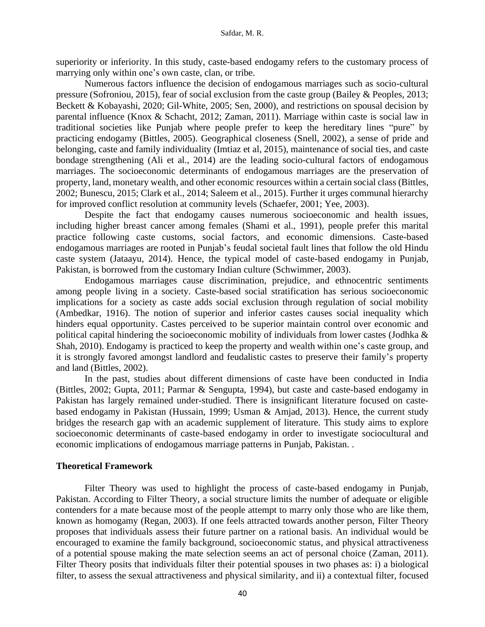superiority or inferiority. In this study, caste-based endogamy refers to the customary process of marrying only within one's own caste, clan, or tribe.

Numerous factors influence the decision of endogamous marriages such as socio-cultural pressure (Sofroniou, 2015), fear of social exclusion from the caste group (Bailey & Peoples, 2013; Beckett & Kobayashi, 2020; Gil-White, 2005; Sen, 2000), and restrictions on spousal decision by parental influence (Knox & Schacht, 2012; Zaman, 2011). Marriage within caste is social law in traditional societies like Punjab where people prefer to keep the hereditary lines "pure" by practicing endogamy (Bittles, 2005). Geographical closeness (Snell, 2002), a sense of pride and belonging, caste and family individuality (Imtiaz et al, 2015), maintenance of social ties, and caste bondage strengthening (Ali et al., 2014) are the leading socio-cultural factors of endogamous marriages. The socioeconomic determinants of endogamous marriages are the preservation of property, land, monetary wealth, and other economic resources within a certain social class (Bittles, 2002; Bunescu, 2015; Clark et al., 2014; Saleem et al., 2015). Further it urges communal hierarchy for improved conflict resolution at community levels (Schaefer, 2001; Yee, 2003).

Despite the fact that endogamy causes numerous socioeconomic and health issues, including higher breast cancer among females (Shami et al., 1991), people prefer this marital practice following caste customs, social factors, and economic dimensions. Caste-based endogamous marriages are rooted in Punjab's feudal societal fault lines that follow the old Hindu caste system (Jataayu, 2014). Hence, the typical model of caste-based endogamy in Punjab, Pakistan, is borrowed from the customary Indian culture (Schwimmer, 2003).

Endogamous marriages cause discrimination, prejudice, and ethnocentric sentiments among people living in a society. Caste-based social stratification has serious socioeconomic implications for a society as caste adds social exclusion through regulation of social mobility (Ambedkar, 1916). The notion of superior and inferior castes causes social inequality which hinders equal opportunity. Castes perceived to be superior maintain control over economic and political capital hindering the socioeconomic mobility of individuals from lower castes (Jodhka & Shah, 2010). Endogamy is practiced to keep the property and wealth within one's caste group, and it is strongly favored amongst landlord and feudalistic castes to preserve their family's property and land (Bittles, 2002).

In the past, studies about different dimensions of caste have been conducted in India (Bittles, 2002; Gupta, 2011; Parmar & Sengupta, 1994), but caste and caste-based endogamy in Pakistan has largely remained under-studied. There is insignificant literature focused on castebased endogamy in Pakistan (Hussain, 1999; Usman & Amjad, 2013). Hence, the current study bridges the research gap with an academic supplement of literature. This study aims to explore socioeconomic determinants of caste-based endogamy in order to investigate sociocultural and economic implications of endogamous marriage patterns in Punjab, Pakistan. .

### **Theoretical Framework**

Filter Theory was used to highlight the process of caste-based endogamy in Punjab, Pakistan. According to Filter Theory, a social structure limits the number of adequate or eligible contenders for a mate because most of the people attempt to marry only those who are like them, known as homogamy (Regan, 2003). If one feels attracted towards another person, Filter Theory proposes that individuals assess their future partner on a rational basis. An individual would be encouraged to examine the family background, socioeconomic status, and physical attractiveness of a potential spouse making the mate selection seems an act of personal choice (Zaman, 2011). Filter Theory posits that individuals filter their potential spouses in two phases as: i) a biological filter, to assess the sexual attractiveness and physical similarity, and ii) a contextual filter, focused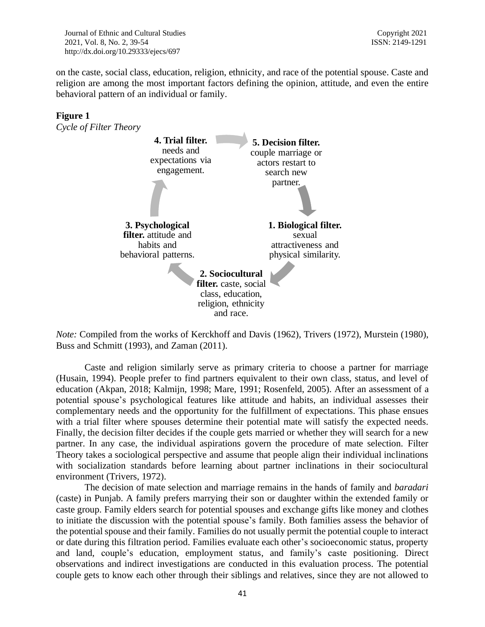on the caste, social class, education, religion, ethnicity, and race of the potential spouse. Caste and religion are among the most important factors defining the opinion, attitude, and even the entire behavioral pattern of an individual or family.

# **Figure 1**





*Note:* Compiled from the works of Kerckhoff and Davis (1962), Trivers (1972), Murstein (1980), Buss and Schmitt (1993), and Zaman (2011).

Caste and religion similarly serve as primary criteria to choose a partner for marriage (Husain, 1994). People prefer to find partners equivalent to their own class, status, and level of education (Akpan, 2018; Kalmijn, 1998; Mare, 1991; Rosenfeld, 2005). After an assessment of a potential spouse's psychological features like attitude and habits, an individual assesses their complementary needs and the opportunity for the fulfillment of expectations. This phase ensues with a trial filter where spouses determine their potential mate will satisfy the expected needs. Finally, the decision filter decides if the couple gets married or whether they will search for a new partner. In any case, the individual aspirations govern the procedure of mate selection. Filter Theory takes a sociological perspective and assume that people align their individual inclinations with socialization standards before learning about partner inclinations in their sociocultural environment (Trivers, 1972).

The decision of mate selection and marriage remains in the hands of family and *baradari* (caste) in Punjab. A family prefers marrying their son or daughter within the extended family or caste group. Family elders search for potential spouses and exchange gifts like money and clothes to initiate the discussion with the potential spouse's family. Both families assess the behavior of the potential spouse and their family. Families do not usually permit the potential couple to interact or date during this filtration period. Families evaluate each other's socioeconomic status, property and land, couple's education, employment status, and family's caste positioning. Direct observations and indirect investigations are conducted in this evaluation process. The potential couple gets to know each other through their siblings and relatives, since they are not allowed to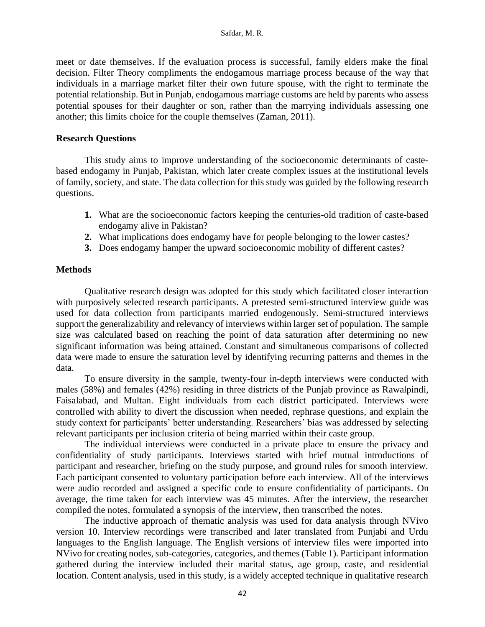meet or date themselves. If the evaluation process is successful, family elders make the final decision. Filter Theory compliments the endogamous marriage process because of the way that individuals in a marriage market filter their own future spouse, with the right to terminate the potential relationship. But in Punjab, endogamous marriage customs are held by parents who assess potential spouses for their daughter or son, rather than the marrying individuals assessing one another; this limits choice for the couple themselves (Zaman, 2011).

## **Research Questions**

This study aims to improve understanding of the socioeconomic determinants of castebased endogamy in Punjab, Pakistan, which later create complex issues at the institutional levels of family, society, and state. The data collection for this study was guided by the following research questions.

- **1.** What are the socioeconomic factors keeping the centuries-old tradition of caste-based endogamy alive in Pakistan?
- **2.** What implications does endogamy have for people belonging to the lower castes?
- **3.** Does endogamy hamper the upward socioeconomic mobility of different castes?

# **Methods**

Qualitative research design was adopted for this study which facilitated closer interaction with purposively selected research participants. A pretested semi-structured interview guide was used for data collection from participants married endogenously. Semi-structured interviews support the generalizability and relevancy of interviews within larger set of population. The sample size was calculated based on reaching the point of data saturation after determining no new significant information was being attained. Constant and simultaneous comparisons of collected data were made to ensure the saturation level by identifying recurring patterns and themes in the data.

To ensure diversity in the sample, twenty-four in-depth interviews were conducted with males (58%) and females (42%) residing in three districts of the Punjab province as Rawalpindi, Faisalabad, and Multan. Eight individuals from each district participated. Interviews were controlled with ability to divert the discussion when needed, rephrase questions, and explain the study context for participants' better understanding. Researchers' bias was addressed by selecting relevant participants per inclusion criteria of being married within their caste group.

The individual interviews were conducted in a private place to ensure the privacy and confidentiality of study participants. Interviews started with brief mutual introductions of participant and researcher, briefing on the study purpose, and ground rules for smooth interview. Each participant consented to voluntary participation before each interview. All of the interviews were audio recorded and assigned a specific code to ensure confidentiality of participants. On average, the time taken for each interview was 45 minutes. After the interview, the researcher compiled the notes, formulated a synopsis of the interview, then transcribed the notes.

The inductive approach of thematic analysis was used for data analysis through NVivo version 10. Interview recordings were transcribed and later translated from Punjabi and Urdu languages to the English language. The English versions of interview files were imported into NVivo for creating nodes, sub-categories, categories, and themes(Table 1). Participant information gathered during the interview included their marital status, age group, caste, and residential location. Content analysis, used in this study, is a widely accepted technique in qualitative research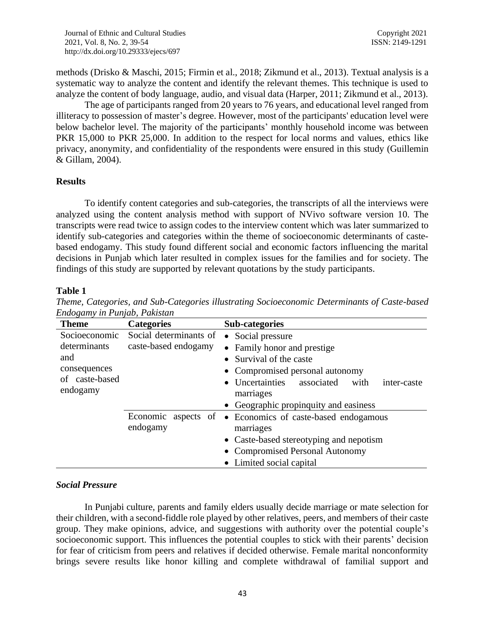methods (Drisko & Maschi, 2015; Firmin et al., 2018; Zikmund et al., 2013). Textual analysis is a systematic way to analyze the content and identify the relevant themes. This technique is used to analyze the content of body language, audio, and visual data (Harper, 2011; Zikmund et al., 2013).

The age of participants ranged from 20 years to 76 years, and educational level ranged from illiteracy to possession of master's degree. However, most of the participants' education level were below bachelor level. The majority of the participants' monthly household income was between PKR 15,000 to PKR 25,000. In addition to the respect for local norms and values, ethics like privacy, anonymity, and confidentiality of the respondents were ensured in this study (Guillemin & Gillam, 2004).

#### **Results**

To identify content categories and sub-categories, the transcripts of all the interviews were analyzed using the content analysis method with support of NVivo software version 10. The transcripts were read twice to assign codes to the interview content which was later summarized to identify sub-categories and categories within the theme of socioeconomic determinants of castebased endogamy. This study found different social and economic factors influencing the marital decisions in Punjab which later resulted in complex issues for the families and for society. The findings of this study are supported by relevant quotations by the study participants.

### **Table 1**

| Endogamy in Punjab, Pakistan                                                       |                                                |                                                                                                                                                                                                                              |
|------------------------------------------------------------------------------------|------------------------------------------------|------------------------------------------------------------------------------------------------------------------------------------------------------------------------------------------------------------------------------|
| <b>Theme</b>                                                                       | <b>Categories</b>                              | Sub-categories                                                                                                                                                                                                               |
| Socioeconomic<br>determinants<br>and<br>consequences<br>of caste-based<br>endogamy | Social determinants of<br>caste-based endogamy | • Social pressure<br>• Family honor and prestige<br>• Survival of the caste<br>• Compromised personal autonomy<br>• Uncertainties<br>associated<br>inter-caste<br>with<br>marriages<br>• Geographic propinquity and easiness |
|                                                                                    | endogamy                                       | Economic aspects of • Economics of caste-based endogamous<br>marriages                                                                                                                                                       |

marriages

• Limited social capital

• Caste-based stereotyping and nepotism • Compromised Personal Autonomy

*Theme, Categories, and Sub-Categories illustrating Socioeconomic Determinants of Caste-based Endogamy in Punjab, Pakistan*

# *Social Pressure*

In Punjabi culture, parents and family elders usually decide marriage or mate selection for their children, with a second-fiddle role played by other relatives, peers, and members of their caste group. They make opinions, advice, and suggestions with authority over the potential couple's socioeconomic support. This influences the potential couples to stick with their parents' decision for fear of criticism from peers and relatives if decided otherwise. Female marital nonconformity brings severe results like honor killing and complete withdrawal of familial support and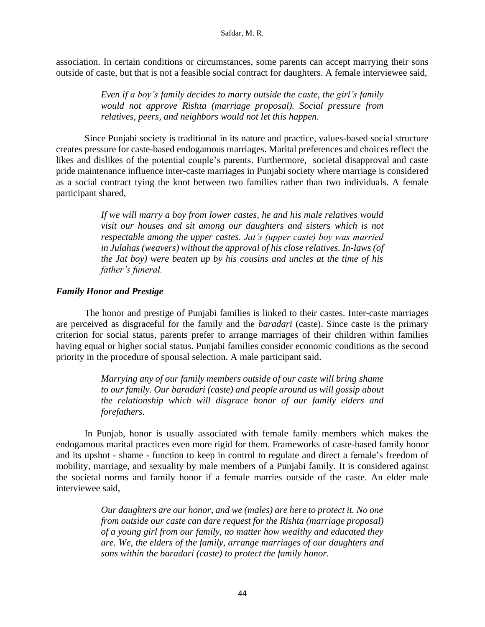#### Safdar, M. R.

association. In certain conditions or circumstances, some parents can accept marrying their sons outside of caste, but that is not a feasible social contract for daughters. A female interviewee said,

> *Even if a boy's family decides to marry outside the caste, the girl's family would not approve Rishta (marriage proposal). Social pressure from relatives, peers, and neighbors would not let this happen.*

Since Punjabi society is traditional in its nature and practice, values-based social structure creates pressure for caste-based endogamous marriages. Marital preferences and choices reflect the likes and dislikes of the potential couple's parents. Furthermore, societal disapproval and caste pride maintenance influence inter-caste marriages in Punjabi society where marriage is considered as a social contract tying the knot between two families rather than two individuals. A female participant shared,

> *If we will marry a boy from lower castes, he and his male relatives would visit our houses and sit among our daughters and sisters which is not respectable among the upper castes. Jat's (upper caste) boy was married in Julahas (weavers) without the approval of his close relatives. In-laws (of the Jat boy) were beaten up by his cousins and uncles at the time of his father's funeral.*

### *Family Honor and Prestige*

The honor and prestige of Punjabi families is linked to their castes. Inter-caste marriages are perceived as disgraceful for the family and the *baradari* (caste). Since caste is the primary criterion for social status, parents prefer to arrange marriages of their children within families having equal or higher social status. Punjabi families consider economic conditions as the second priority in the procedure of spousal selection. A male participant said.

> *Marrying any of our family members outside of our caste will bring shame to our family. Our baradari (caste) and people around us will gossip about the relationship which will disgrace honor of our family elders and forefathers.*

In Punjab, honor is usually associated with female family members which makes the endogamous marital practices even more rigid for them. Frameworks of caste-based family honor and its upshot - shame - function to keep in control to regulate and direct a female's freedom of mobility, marriage, and sexuality by male members of a Punjabi family. It is considered against the societal norms and family honor if a female marries outside of the caste. An elder male interviewee said,

> *Our daughters are our honor, and we (males) are here to protect it. No one from outside our caste can dare request for the Rishta (marriage proposal) of a young girl from our family, no matter how wealthy and educated they are. We, the elders of the family, arrange marriages of our daughters and sons within the baradari (caste) to protect the family honor.*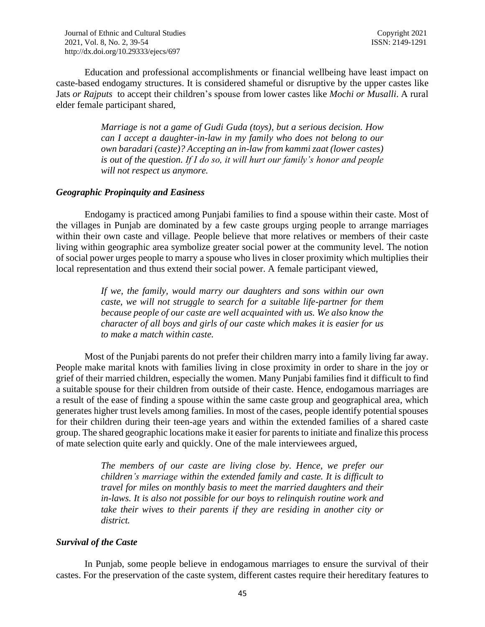Education and professional accomplishments or financial wellbeing have least impact on caste-based endogamy structures. It is considered shameful or disruptive by the upper castes like Jats *or Rajputs* to accept their children's spouse from lower castes like *Mochi or Musalli*. A rural elder female participant shared,

> *Marriage is not a game of Gudi Guda (toys), but a serious decision. How can I accept a daughter-in-law in my family who does not belong to our own baradari (caste)? Accepting an in-law from kammi zaat (lower castes) is out of the question. If I do so, it will hurt our family's honor and people will not respect us anymore.*

#### *Geographic Propinquity and Easiness*

Endogamy is practiced among Punjabi families to find a spouse within their caste. Most of the villages in Punjab are dominated by a few caste groups urging people to arrange marriages within their own caste and village. People believe that more relatives or members of their caste living within geographic area symbolize greater social power at the community level. The notion of social power urges people to marry a spouse who lives in closer proximity which multiplies their local representation and thus extend their social power. A female participant viewed,

> *If we, the family, would marry our daughters and sons within our own caste, we will not struggle to search for a suitable life-partner for them because people of our caste are well acquainted with us. We also know the character of all boys and girls of our caste which makes it is easier for us to make a match within caste.*

Most of the Punjabi parents do not prefer their children marry into a family living far away. People make marital knots with families living in close proximity in order to share in the joy or grief of their married children, especially the women. Many Punjabi families find it difficult to find a suitable spouse for their children from outside of their caste. Hence, endogamous marriages are a result of the ease of finding a spouse within the same caste group and geographical area, which generates higher trust levels among families. In most of the cases, people identify potential spouses for their children during their teen-age years and within the extended families of a shared caste group. The shared geographic locations make it easier for parents to initiate and finalize this process of mate selection quite early and quickly. One of the male interviewees argued,

> *The members of our caste are living close by. Hence, we prefer our children's marriage within the extended family and caste. It is difficult to travel for miles on monthly basis to meet the married daughters and their in-laws. It is also not possible for our boys to relinquish routine work and take their wives to their parents if they are residing in another city or district.*

### *Survival of the Caste*

In Punjab, some people believe in endogamous marriages to ensure the survival of their castes. For the preservation of the caste system, different castes require their hereditary features to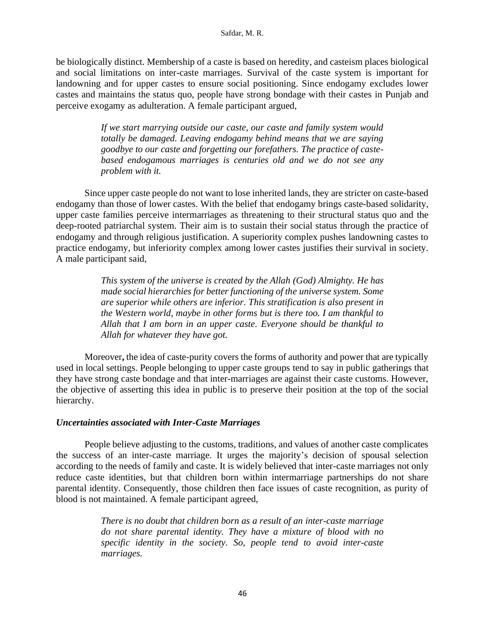be biologically distinct. Membership of a caste is based on heredity, and casteism places biological and social limitations on inter-caste marriages. Survival of the caste system is important for landowning and for upper castes to ensure social positioning. Since endogamy excludes lower castes and maintains the status quo, people have strong bondage with their castes in Punjab and perceive exogamy as adulteration. A female participant argued,

> *If we start marrying outside our caste, our caste and family system would totally be damaged. Leaving endogamy behind means that we are saying goodbye to our caste and forgetting our forefathers. The practice of castebased endogamous marriages is centuries old and we do not see any problem with it.*

Since upper caste people do not want to lose inherited lands, they are stricter on caste-based endogamy than those of lower castes. With the belief that endogamy brings caste-based solidarity, upper caste families perceive intermarriages as threatening to their structural status quo and the deep-rooted patriarchal system. Their aim is to sustain their social status through the practice of endogamy and through religious justification. A superiority complex pushes landowning castes to practice endogamy, but inferiority complex among lower castes justifies their survival in society. A male participant said,

> *This system of the universe is created by the Allah (God) Almighty. He has made social hierarchies for better functioning of the universe system. Some are superior while others are inferior. This stratification is also present in the Western world, maybe in other forms but is there too. I am thankful to Allah that I am born in an upper caste. Everyone should be thankful to Allah for whatever they have got.*

Moreover**,** the idea of caste-purity covers the forms of authority and power that are typically used in local settings. People belonging to upper caste groups tend to say in public gatherings that they have strong caste bondage and that inter-marriages are against their caste customs. However, the objective of asserting this idea in public is to preserve their position at the top of the social hierarchy.

### *Uncertainties associated with Inter-Caste Marriages*

People believe adjusting to the customs, traditions, and values of another caste complicates the success of an inter-caste marriage. It urges the majority's decision of spousal selection according to the needs of family and caste. It is widely believed that inter-caste marriages not only reduce caste identities, but that children born within intermarriage partnerships do not share parental identity. Consequently, those children then face issues of caste recognition, as purity of blood is not maintained. A female participant agreed,

> *There is no doubt that children born as a result of an inter-caste marriage do not share parental identity. They have a mixture of blood with no specific identity in the society. So, people tend to avoid inter-caste marriages.*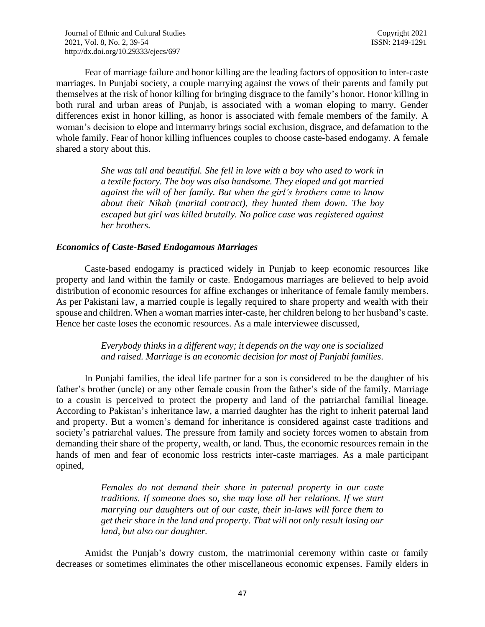Fear of marriage failure and honor killing are the leading factors of opposition to inter-caste marriages. In Punjabi society, a couple marrying against the vows of their parents and family put themselves at the risk of honor killing for bringing disgrace to the family's honor. Honor killing in both rural and urban areas of Punjab, is associated with a woman eloping to marry. Gender differences exist in honor killing, as honor is associated with female members of the family. A woman's decision to elope and intermarry brings social exclusion, disgrace, and defamation to the whole family. Fear of honor killing influences couples to choose caste-based endogamy. A female shared a story about this.

> *She was tall and beautiful. She fell in love with a boy who used to work in a textile factory. The boy was also handsome. They eloped and got married against the will of her family. But when the girl's brothers came to know about their Nikah (marital contract), they hunted them down. The boy escaped but girl was killed brutally. No police case was registered against her brothers.*

### *Economics of Caste-Based Endogamous Marriages*

Caste-based endogamy is practiced widely in Punjab to keep economic resources like property and land within the family or caste. Endogamous marriages are believed to help avoid distribution of economic resources for affine exchanges or inheritance of female family members. As per Pakistani law, a married couple is legally required to share property and wealth with their spouse and children. When a woman marries inter-caste, her children belong to her husband's caste. Hence her caste loses the economic resources. As a male interviewee discussed,

## *Everybody thinks in a different way; it depends on the way one is socialized and raised. Marriage is an economic decision for most of Punjabi families.*

In Punjabi families, the ideal life partner for a son is considered to be the daughter of his father's brother (uncle) or any other female cousin from the father's side of the family. Marriage to a cousin is perceived to protect the property and land of the patriarchal familial lineage. According to Pakistan's inheritance law, a married daughter has the right to inherit paternal land and property. But a women's demand for inheritance is considered against caste traditions and society's patriarchal values. The pressure from family and society forces women to abstain from demanding their share of the property, wealth, or land. Thus, the economic resources remain in the hands of men and fear of economic loss restricts inter-caste marriages. As a male participant opined,

> *Females do not demand their share in paternal property in our caste traditions. If someone does so, she may lose all her relations. If we start marrying our daughters out of our caste, their in-laws will force them to get their share in the land and property. That will not only result losing our land, but also our daughter.*

Amidst the Punjab's dowry custom, the matrimonial ceremony within caste or family decreases or sometimes eliminates the other miscellaneous economic expenses. Family elders in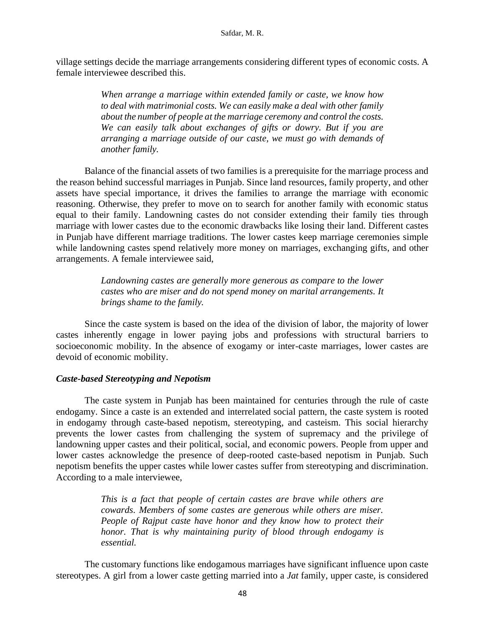village settings decide the marriage arrangements considering different types of economic costs. A female interviewee described this.

> *When arrange a marriage within extended family or caste, we know how to deal with matrimonial costs. We can easily make a deal with other family about the number of people at the marriage ceremony and control the costs. We can easily talk about exchanges of gifts or dowry. But if you are arranging a marriage outside of our caste, we must go with demands of another family.*

Balance of the financial assets of two families is a prerequisite for the marriage process and the reason behind successful marriages in Punjab. Since land resources, family property, and other assets have special importance, it drives the families to arrange the marriage with economic reasoning. Otherwise, they prefer to move on to search for another family with economic status equal to their family. Landowning castes do not consider extending their family ties through marriage with lower castes due to the economic drawbacks like losing their land. Different castes in Punjab have different marriage traditions. The lower castes keep marriage ceremonies simple while landowning castes spend relatively more money on marriages, exchanging gifts, and other arrangements. A female interviewee said,

> *Landowning castes are generally more generous as compare to the lower castes who are miser and do not spend money on marital arrangements. It brings shame to the family.*

Since the caste system is based on the idea of the division of labor, the majority of lower castes inherently engage in lower paying jobs and professions with structural barriers to socioeconomic mobility. In the absence of exogamy or inter-caste marriages, lower castes are devoid of economic mobility.

### *Caste-based Stereotyping and Nepotism*

The caste system in Punjab has been maintained for centuries through the rule of caste endogamy. Since a caste is an extended and interrelated social pattern, the caste system is rooted in endogamy through caste-based nepotism, stereotyping, and casteism. This social hierarchy prevents the lower castes from challenging the system of supremacy and the privilege of landowning upper castes and their political, social, and economic powers. People from upper and lower castes acknowledge the presence of deep-rooted caste-based nepotism in Punjab. Such nepotism benefits the upper castes while lower castes suffer from stereotyping and discrimination. According to a male interviewee,

> *This is a fact that people of certain castes are brave while others are cowards. Members of some castes are generous while others are miser. People of Rajput caste have honor and they know how to protect their honor. That is why maintaining purity of blood through endogamy is essential.*

The customary functions like endogamous marriages have significant influence upon caste stereotypes. A girl from a lower caste getting married into a *Jat* family, upper caste, is considered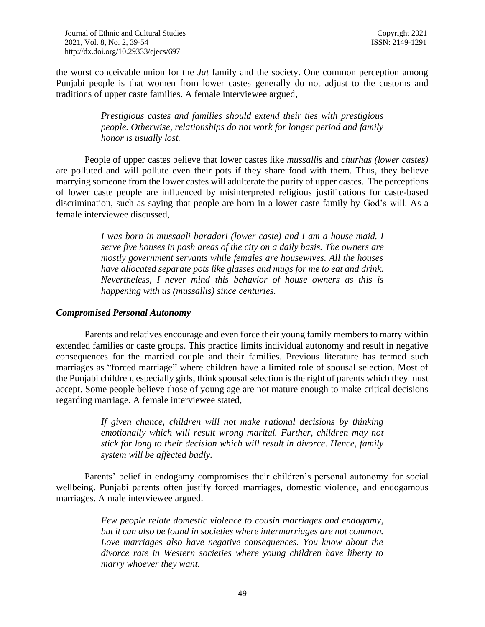the worst conceivable union for the *Jat* family and the society. One common perception among Punjabi people is that women from lower castes generally do not adjust to the customs and traditions of upper caste families. A female interviewee argued,

> *Prestigious castes and families should extend their ties with prestigious people. Otherwise, relationships do not work for longer period and family honor is usually lost.*

People of upper castes believe that lower castes like *mussallis* and *churhas (lower castes)* are polluted and will pollute even their pots if they share food with them. Thus, they believe marrying someone from the lower castes will adulterate the purity of upper castes. The perceptions of lower caste people are influenced by misinterpreted religious justifications for caste-based discrimination, such as saying that people are born in a lower caste family by God's will. As a female interviewee discussed,

> *I was born in mussaali baradari (lower caste) and I am a house maid. I serve five houses in posh areas of the city on a daily basis. The owners are mostly government servants while females are housewives. All the houses have allocated separate pots like glasses and mugs for me to eat and drink. Nevertheless, I never mind this behavior of house owners as this is happening with us (mussallis) since centuries.*

### *Compromised Personal Autonomy*

Parents and relatives encourage and even force their young family members to marry within extended families or caste groups. This practice limits individual autonomy and result in negative consequences for the married couple and their families. Previous literature has termed such marriages as "forced marriage" where children have a limited role of spousal selection. Most of the Punjabi children, especially girls, think spousal selection is the right of parents which they must accept. Some people believe those of young age are not mature enough to make critical decisions regarding marriage. A female interviewee stated,

> *If given chance, children will not make rational decisions by thinking emotionally which will result wrong marital. Further, children may not stick for long to their decision which will result in divorce. Hence, family system will be affected badly.*

Parents' belief in endogamy compromises their children's personal autonomy for social wellbeing. Punjabi parents often justify forced marriages, domestic violence, and endogamous marriages. A male interviewee argued.

> *Few people relate domestic violence to cousin marriages and endogamy, but it can also be found in societies where intermarriages are not common. Love marriages also have negative consequences. You know about the divorce rate in Western societies where young children have liberty to marry whoever they want.*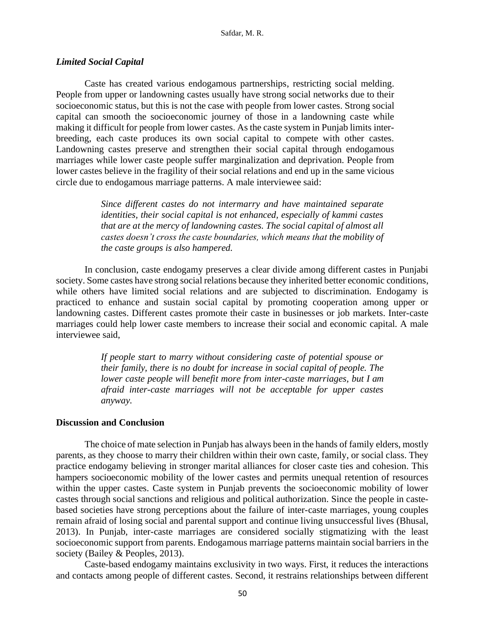#### *Limited Social Capital*

Caste has created various endogamous partnerships, restricting social melding. People from upper or landowning castes usually have strong social networks due to their socioeconomic status, but this is not the case with people from lower castes. Strong social capital can smooth the socioeconomic journey of those in a landowning caste while making it difficult for people from lower castes. As the caste system in Punjab limits interbreeding, each caste produces its own social capital to compete with other castes. Landowning castes preserve and strengthen their social capital through endogamous marriages while lower caste people suffer marginalization and deprivation. People from lower castes believe in the fragility of their social relations and end up in the same vicious circle due to endogamous marriage patterns. A male interviewee said:

> *Since different castes do not intermarry and have maintained separate identities, their social capital is not enhanced, especially of kammi castes that are at the mercy of landowning castes. The social capital of almost all castes doesn't cross the caste boundaries, which means that the mobility of the caste groups is also hampered.*

In conclusion, caste endogamy preserves a clear divide among different castes in Punjabi society. Some castes have strong social relations because they inherited better economic conditions, while others have limited social relations and are subjected to discrimination. Endogamy is practiced to enhance and sustain social capital by promoting cooperation among upper or landowning castes. Different castes promote their caste in businesses or job markets. Inter-caste marriages could help lower caste members to increase their social and economic capital. A male interviewee said,

> *If people start to marry without considering caste of potential spouse or their family, there is no doubt for increase in social capital of people. The lower caste people will benefit more from inter-caste marriages, but I am afraid inter-caste marriages will not be acceptable for upper castes anyway.*

#### **Discussion and Conclusion**

The choice of mate selection in Punjab has always been in the hands of family elders, mostly parents, as they choose to marry their children within their own caste, family, or social class. They practice endogamy believing in stronger marital alliances for closer caste ties and cohesion. This hampers socioeconomic mobility of the lower castes and permits unequal retention of resources within the upper castes. Caste system in Punjab prevents the socioeconomic mobility of lower castes through social sanctions and religious and political authorization. Since the people in castebased societies have strong perceptions about the failure of inter-caste marriages, young couples remain afraid of losing social and parental support and continue living unsuccessful lives (Bhusal, 2013). In Punjab, inter-caste marriages are considered socially stigmatizing with the least socioeconomic support from parents. Endogamous marriage patterns maintain social barriers in the society (Bailey & Peoples, 2013).

Caste-based endogamy maintains exclusivity in two ways. First, it reduces the interactions and contacts among people of different castes. Second, it restrains relationships between different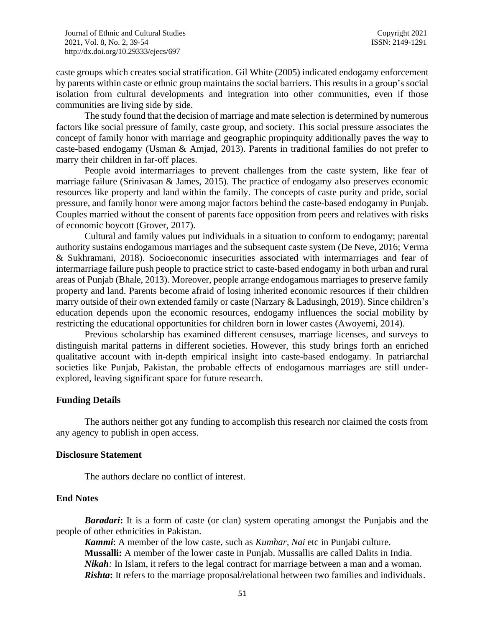caste groups which creates social stratification. Gil White (2005) indicated endogamy enforcement by parents within caste or ethnic group maintains the social barriers. This results in a group's social isolation from cultural developments and integration into other communities, even if those communities are living side by side.

The study found that the decision of marriage and mate selection is determined by numerous factors like social pressure of family, caste group, and society. This social pressure associates the concept of family honor with marriage and geographic propinquity additionally paves the way to caste-based endogamy (Usman & Amjad, 2013). Parents in traditional families do not prefer to marry their children in far-off places.

People avoid intermarriages to prevent challenges from the caste system, like fear of marriage failure (Srinivasan & James, 2015). The practice of endogamy also preserves economic resources like property and land within the family. The concepts of caste purity and pride, social pressure, and family honor were among major factors behind the caste-based endogamy in Punjab. Couples married without the consent of parents face opposition from peers and relatives with risks of economic boycott (Grover, 2017).

Cultural and family values put individuals in a situation to conform to endogamy; parental authority sustains endogamous marriages and the subsequent caste system (De Neve, 2016; Verma & Sukhramani, 2018). Socioeconomic insecurities associated with intermarriages and fear of intermarriage failure push people to practice strict to caste-based endogamy in both urban and rural areas of Punjab (Bhale, 2013). Moreover, people arrange endogamous marriages to preserve family property and land. Parents become afraid of losing inherited economic resources if their children marry outside of their own extended family or caste (Narzary & Ladusingh, 2019). Since children's education depends upon the economic resources, endogamy influences the social mobility by restricting the educational opportunities for children born in lower castes (Awoyemi, 2014).

Previous scholarship has examined different censuses, marriage licenses, and surveys to distinguish marital patterns in different societies. However, this study brings forth an enriched qualitative account with in-depth empirical insight into caste-based endogamy. In patriarchal societies like Punjab, Pakistan, the probable effects of endogamous marriages are still underexplored, leaving significant space for future research.

#### **Funding Details**

The authors neither got any funding to accomplish this research nor claimed the costs from any agency to publish in open access.

#### **Disclosure Statement**

The authors declare no conflict of interest.

#### **End Notes**

**Baradari:** It is a form of caste (or clan) system operating amongst the Punjabis and the people of other ethnicities in Pakistan.

*Kammi*: A member of the low caste, such as *Kumhar, Nai* etc in Punjabi culture. **Mussalli:** A member of the lower caste in Punjab. Mussallis are called Dalits in India. *Nikah*: In Islam, it refers to the legal contract for marriage between a man and a woman. **Rishta:** It refers to the marriage proposal/relational between two families and individuals.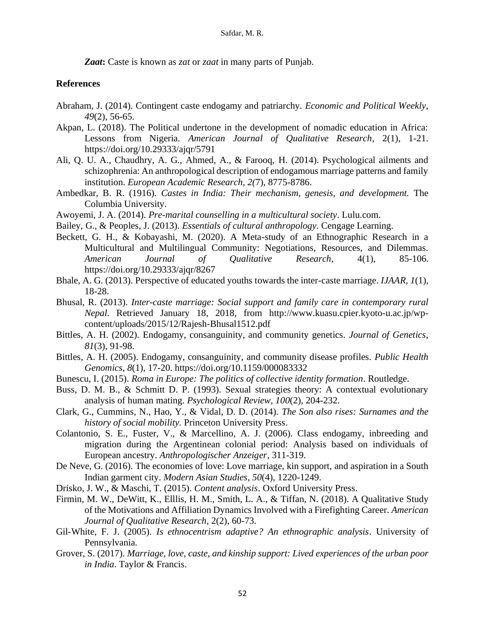*Zaat***:** Caste is known as *zat* or *zaat* in many parts of Punjab.

#### **References**

- Abraham, J. (2014). Contingent caste endogamy and patriarchy. *Economic and Political Weekly*, *49*(2), 56-65.
- Akpan, L. (2018). The Political undertone in the development of nomadic education in Africa: Lessons from Nigeria. *American Journal of Qualitative Research*, 2(1), 1-21. https://doi.org/10.29333/ajqr/5791
- Ali, Q. U. A., Chaudhry, A. G., Ahmed, A., & Farooq, H. (2014). Psychological ailments and schizophrenia: An anthropological description of endogamous marriage patterns and family institution. *European Academic Research*, *2(*7), 8775-8786.
- Ambedkar, B. R. (1916). *Castes in India: Their mechanism, genesis, and development.* The Columbia University.
- Awoyemi, J. A. (2014). *Pre-marital counselling in a multicultural society*. Lulu.com.
- Bailey, G., & Peoples, J. (2013). *Essentials of cultural anthropology*. Cengage Learning.
- Beckett, G. H., & Kobayashi, M. (2020). A Meta-study of an Ethnographic Research in a Multicultural and Multilingual Community: Negotiations, Resources, and Dilemmas. *American Journal of Qualitative Research*, 4(1), 85-106. https://doi.org/10.29333/ajqr/8267
- Bhale, A. G. (2013). Perspective of educated youths towards the inter-caste marriage. *IJAAR, 1*(1), 18-28.
- Bhusal, R. (2013). *Inter-caste marriage: Social support and family care in contemporary rural Nepal*. Retrieved January 18, 2018, from http://www.kuasu.cpier.kyoto-u.ac.jp/wpcontent/uploads/2015/12/Rajesh-Bhusal1512.pdf
- Bittles, A. H. (2002). Endogamy, consanguinity, and community genetics. *Journal of Genetics*, *81*(3), 91-98.
- Bittles, A. H. (2005). Endogamy, consanguinity, and community disease profiles. *Public Health Genomics*, *8*(1), 17-20. https://doi.org/10.1159/000083332
- Bunescu, I. (2015). *Roma in Europe: The politics of collective identity formation*. Routledge.
- Buss, D. M. B., & Schmitt D. P. (1993). Sexual strategies theory: A contextual evolutionary analysis of human mating. *Psychological Review, 100*(2), 204-232.
- Clark, G., Cummins, N., Hao, Y., & Vidal, D. D. (2014). *The Son also rises: Surnames and the history of social mobility.* Princeton University Press.
- Colantonio, S. E., Fuster, V., & Marcellino, A. J. (2006). Class endogamy, inbreeding and migration during the Argentinean colonial period: Analysis based on individuals of European ancestry. *Anthropologischer Anzeiger*, 311-319.
- De Neve, G. (2016). The economies of love: Love marriage, kin support, and aspiration in a South Indian garment city. *Modern Asian Studies*, *50*(4), 1220-1249.
- Drisko, J. W., & Maschi, T. (2015). *Content analysis*. Oxford University Press.
- Firmin, M. W., DeWitt, K., Elllis, H. M., Smith, L. A., & Tiffan, N. (2018). A Qualitative Study of the Motivations and Affiliation Dynamics Involved with a Firefighting Career. *American Journal of Qualitative Research*, 2(2), 60-73.
- Gil-White, F. J. (2005). *Is ethnocentrism adaptive? An ethnographic analysis*. University of Pennsylvania.
- Grover, S. (2017). *Marriage, love, caste, and kinship support: Lived experiences of the urban poor in India*. Taylor & Francis.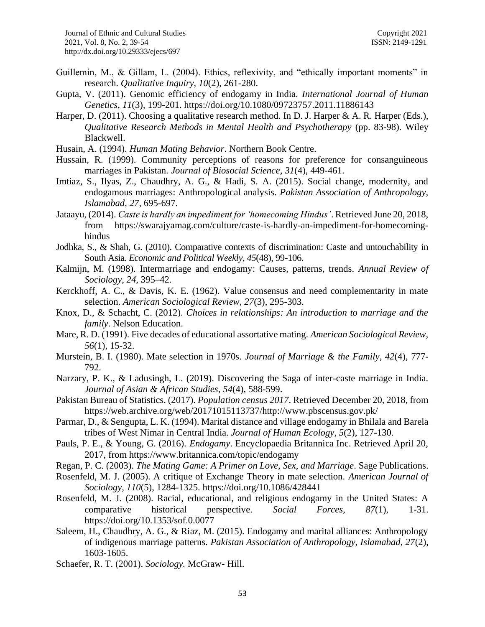- Guillemin, M., & Gillam, L. (2004). Ethics, reflexivity, and "ethically important moments" in research. *Qualitative Inquiry, 10*(2), 261-280.
- Gupta, V. (2011). Genomic efficiency of endogamy in India. *International Journal of Human Genetics*, *11*(3), 199-201. https://doi.org/10.1080/09723757.2011.11886143
- Harper, D. (2011). Choosing a qualitative research method. In D. J. Harper & A. R. Harper (Eds.), *Qualitative Research Methods in Mental Health and Psychotherapy* (pp. 83-98). Wiley Blackwell.
- Husain, A. (1994). *Human Mating Behavior*. Northern Book Centre.
- Hussain, R. (1999). Community perceptions of reasons for preference for consanguineous marriages in Pakistan. *Journal of Biosocial Science*, *31*(4), 449-461.
- Imtiaz, S., Ilyas, Z., Chaudhry, A. G., & Hadi, S. A. (2015). Social change, modernity, and endogamous marriages: Anthropological analysis. *Pakistan Association of Anthropology, Islamabad, 27*, 695-697.
- Jataayu, (2014). *Caste is hardly an impediment for 'homecoming Hindus'*. Retrieved June 20, 2018, from https://swarajyamag.com/culture/caste-is-hardly-an-impediment-for-homecominghindus
- Jodhka, S., & Shah, G. (2010). Comparative contexts of discrimination: Caste and untouchability in South Asia. *Economic and Political Weekly, 45*(48), 99-106.
- Kalmijn, M. (1998). Intermarriage and endogamy: Causes, patterns, trends. *Annual Review of Sociology*, *24,* 395–42.
- Kerckhoff, A. C., & Davis, K. E. (1962). Value consensus and need complementarity in mate selection. *American Sociological Review, 27*(3), 295-303.
- Knox, D., & Schacht, C. (2012). *Choices in relationships: An introduction to marriage and the family*. Nelson Education.
- Mare, R. D. (1991). Five decades of educational assortative mating. *American Sociological Review, 56*(1), 15-32.
- Murstein, B. I. (1980). Mate selection in 1970s. *Journal of Marriage & the Family*, *42*(4), 777- 792.
- Narzary, P. K., & Ladusingh, L. (2019). Discovering the Saga of inter-caste marriage in India. *Journal of Asian & African Studies*, *54*(4), 588-599.
- Pakistan Bureau of Statistics. (2017). *Population census 2017*. Retrieved December 20, 2018, from https://web.archive.org/web/20171015113737/http://www.pbscensus.gov.pk/
- Parmar, D., & Sengupta, L. K. (1994). Marital distance and village endogamy in Bhilala and Barela tribes of West Nimar in Central India. *Journal of Human Ecology*, *5*(2), 127-130.
- Pauls, P. E., & Young, G. (2016). *Endogamy*. Encyclopaedia Britannica Inc. Retrieved April 20, 2017, from https://www.britannica.com/topic/endogamy
- Regan, P. C. (2003). *The Mating Game: A Primer on Love, Sex, and Marriage*. Sage Publications.
- Rosenfeld, M. J. (2005). A critique of Exchange Theory in mate selection. *American Journal of Sociology*, *110*(5), 1284-1325. https://doi.org/10.1086/428441
- Rosenfeld, M. J. (2008). Racial, educational, and religious endogamy in the United States: A comparative historical perspective. *Social Forces*, *87*(1), 1-31. https://doi.org/10.1353/sof.0.0077
- Saleem, H., Chaudhry, A. G., & Riaz, M. (2015). Endogamy and marital alliances: Anthropology of indigenous marriage patterns. *Pakistan Association of Anthropology, Islamabad, 27*(2), 1603-1605.
- Schaefer, R. T. (2001). *Sociology.* McGraw- Hill.